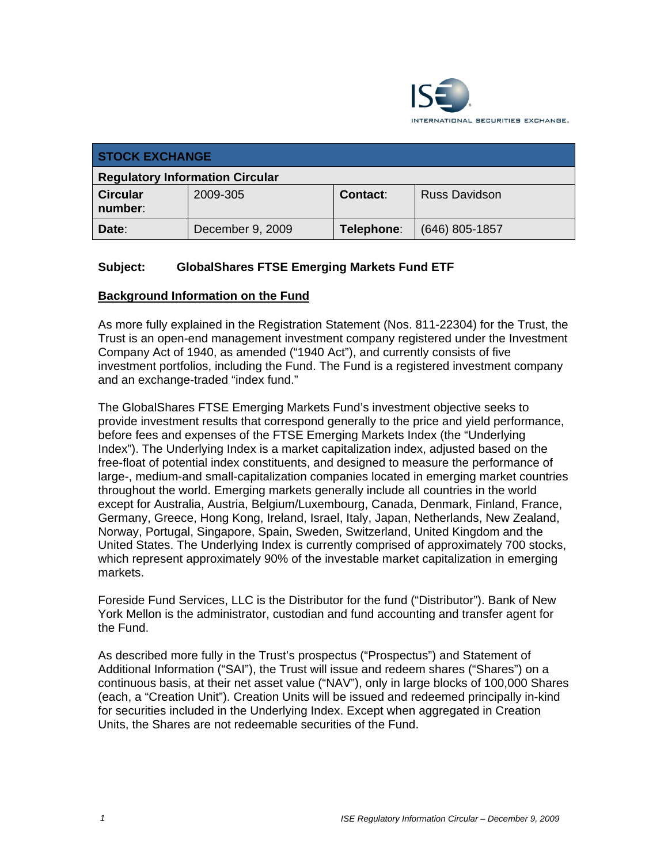

| <b>STOCK EXCHANGE</b>                  |                  |            |                      |  |  |
|----------------------------------------|------------------|------------|----------------------|--|--|
| <b>Regulatory Information Circular</b> |                  |            |                      |  |  |
| <b>Circular</b><br>number:             | 2009-305         | Contact:   | <b>Russ Davidson</b> |  |  |
| Date:                                  | December 9, 2009 | Telephone: | $(646)$ 805-1857     |  |  |

## **Subject: GlobalShares FTSE Emerging Markets Fund ETF**

## **Background Information on the Fund**

As more fully explained in the Registration Statement (Nos. 811-22304) for the Trust, the Trust is an open-end management investment company registered under the Investment Company Act of 1940, as amended ("1940 Act"), and currently consists of five investment portfolios, including the Fund. The Fund is a registered investment company and an exchange-traded "index fund."

The GlobalShares FTSE Emerging Markets Fund's investment objective seeks to provide investment results that correspond generally to the price and yield performance, before fees and expenses of the FTSE Emerging Markets Index (the "Underlying Index"). The Underlying Index is a market capitalization index, adjusted based on the free-float of potential index constituents, and designed to measure the performance of large-, medium-and small-capitalization companies located in emerging market countries throughout the world. Emerging markets generally include all countries in the world except for Australia, Austria, Belgium/Luxembourg, Canada, Denmark, Finland, France, Germany, Greece, Hong Kong, Ireland, Israel, Italy, Japan, Netherlands, New Zealand, Norway, Portugal, Singapore, Spain, Sweden, Switzerland, United Kingdom and the United States. The Underlying Index is currently comprised of approximately 700 stocks, which represent approximately 90% of the investable market capitalization in emerging markets.

Foreside Fund Services, LLC is the Distributor for the fund ("Distributor"). Bank of New York Mellon is the administrator, custodian and fund accounting and transfer agent for the Fund.

As described more fully in the Trust's prospectus ("Prospectus") and Statement of Additional Information ("SAI"), the Trust will issue and redeem shares ("Shares") on a continuous basis, at their net asset value ("NAV"), only in large blocks of 100,000 Shares (each, a "Creation Unit"). Creation Units will be issued and redeemed principally in-kind for securities included in the Underlying Index. Except when aggregated in Creation Units, the Shares are not redeemable securities of the Fund.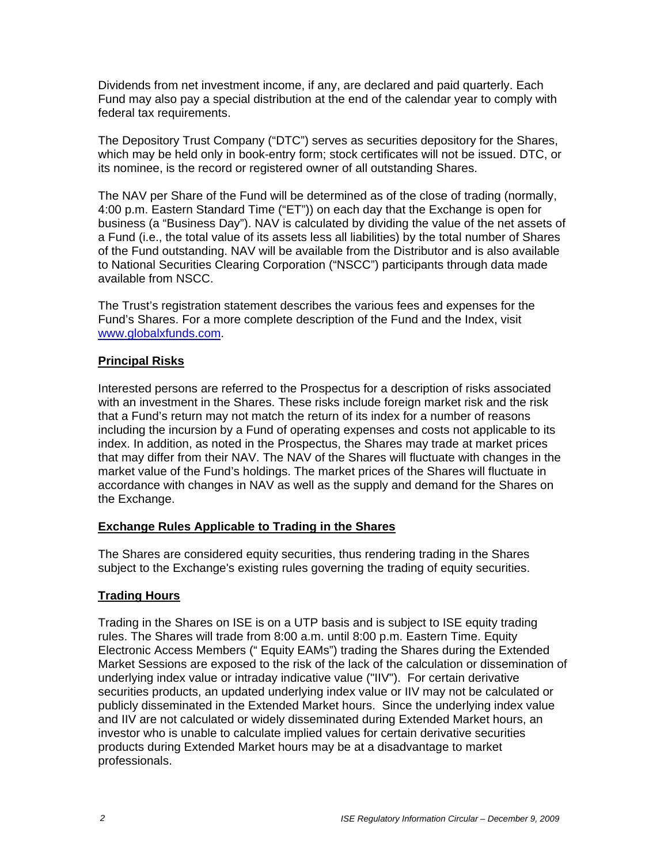Dividends from net investment income, if any, are declared and paid quarterly. Each Fund may also pay a special distribution at the end of the calendar year to comply with federal tax requirements.

The Depository Trust Company ("DTC") serves as securities depository for the Shares, which may be held only in book-entry form; stock certificates will not be issued. DTC, or its nominee, is the record or registered owner of all outstanding Shares.

The NAV per Share of the Fund will be determined as of the close of trading (normally, 4:00 p.m. Eastern Standard Time ("ET")) on each day that the Exchange is open for business (a "Business Day"). NAV is calculated by dividing the value of the net assets of a Fund (i.e., the total value of its assets less all liabilities) by the total number of Shares of the Fund outstanding. NAV will be available from the Distributor and is also available to National Securities Clearing Corporation ("NSCC") participants through data made available from NSCC.

The Trust's registration statement describes the various fees and expenses for the Fund's Shares. For a more complete description of the Fund and the Index, visit www.globalxfunds.com.

#### **Principal Risks**

Interested persons are referred to the Prospectus for a description of risks associated with an investment in the Shares. These risks include foreign market risk and the risk that a Fund's return may not match the return of its index for a number of reasons including the incursion by a Fund of operating expenses and costs not applicable to its index. In addition, as noted in the Prospectus, the Shares may trade at market prices that may differ from their NAV. The NAV of the Shares will fluctuate with changes in the market value of the Fund's holdings. The market prices of the Shares will fluctuate in accordance with changes in NAV as well as the supply and demand for the Shares on the Exchange.

## **Exchange Rules Applicable to Trading in the Shares**

The Shares are considered equity securities, thus rendering trading in the Shares subject to the Exchange's existing rules governing the trading of equity securities.

## **Trading Hours**

Trading in the Shares on ISE is on a UTP basis and is subject to ISE equity trading rules. The Shares will trade from 8:00 a.m. until 8:00 p.m. Eastern Time. Equity Electronic Access Members (" Equity EAMs") trading the Shares during the Extended Market Sessions are exposed to the risk of the lack of the calculation or dissemination of underlying index value or intraday indicative value ("IIV"). For certain derivative securities products, an updated underlying index value or IIV may not be calculated or publicly disseminated in the Extended Market hours. Since the underlying index value and IIV are not calculated or widely disseminated during Extended Market hours, an investor who is unable to calculate implied values for certain derivative securities products during Extended Market hours may be at a disadvantage to market professionals.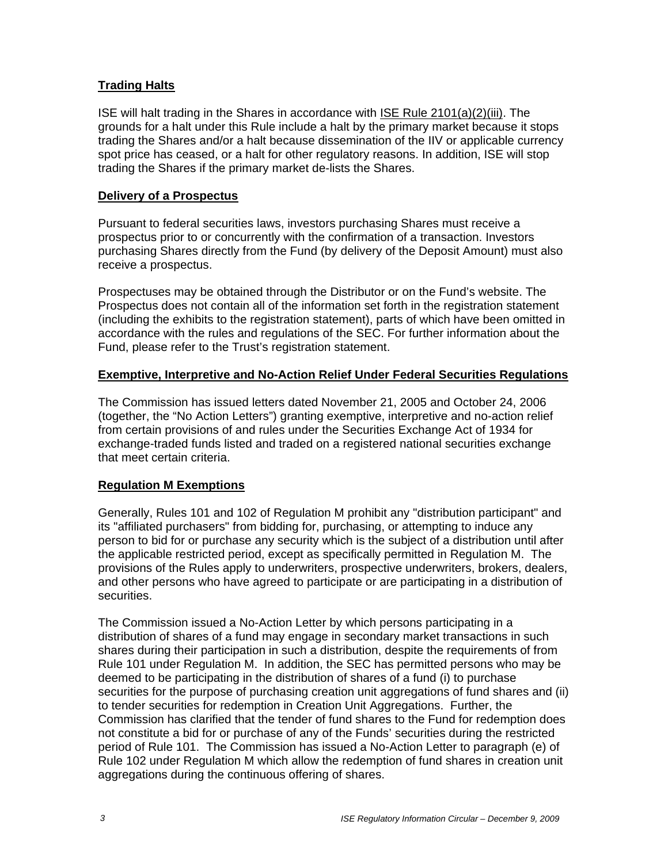## **Trading Halts**

ISE will halt trading in the Shares in accordance with ISE Rule 2101(a)(2)(iii). The grounds for a halt under this Rule include a halt by the primary market because it stops trading the Shares and/or a halt because dissemination of the IIV or applicable currency spot price has ceased, or a halt for other regulatory reasons. In addition, ISE will stop trading the Shares if the primary market de-lists the Shares.

#### **Delivery of a Prospectus**

Pursuant to federal securities laws, investors purchasing Shares must receive a prospectus prior to or concurrently with the confirmation of a transaction. Investors purchasing Shares directly from the Fund (by delivery of the Deposit Amount) must also receive a prospectus.

Prospectuses may be obtained through the Distributor or on the Fund's website. The Prospectus does not contain all of the information set forth in the registration statement (including the exhibits to the registration statement), parts of which have been omitted in accordance with the rules and regulations of the SEC. For further information about the Fund, please refer to the Trust's registration statement.

## **Exemptive, Interpretive and No-Action Relief Under Federal Securities Regulations**

The Commission has issued letters dated November 21, 2005 and October 24, 2006 (together, the "No Action Letters") granting exemptive, interpretive and no-action relief from certain provisions of and rules under the Securities Exchange Act of 1934 for exchange-traded funds listed and traded on a registered national securities exchange that meet certain criteria.

## **Regulation M Exemptions**

Generally, Rules 101 and 102 of Regulation M prohibit any "distribution participant" and its "affiliated purchasers" from bidding for, purchasing, or attempting to induce any person to bid for or purchase any security which is the subject of a distribution until after the applicable restricted period, except as specifically permitted in Regulation M. The provisions of the Rules apply to underwriters, prospective underwriters, brokers, dealers, and other persons who have agreed to participate or are participating in a distribution of securities.

The Commission issued a No-Action Letter by which persons participating in a distribution of shares of a fund may engage in secondary market transactions in such shares during their participation in such a distribution, despite the requirements of from Rule 101 under Regulation M. In addition, the SEC has permitted persons who may be deemed to be participating in the distribution of shares of a fund (i) to purchase securities for the purpose of purchasing creation unit aggregations of fund shares and (ii) to tender securities for redemption in Creation Unit Aggregations. Further, the Commission has clarified that the tender of fund shares to the Fund for redemption does not constitute a bid for or purchase of any of the Funds' securities during the restricted period of Rule 101. The Commission has issued a No-Action Letter to paragraph (e) of Rule 102 under Regulation M which allow the redemption of fund shares in creation unit aggregations during the continuous offering of shares.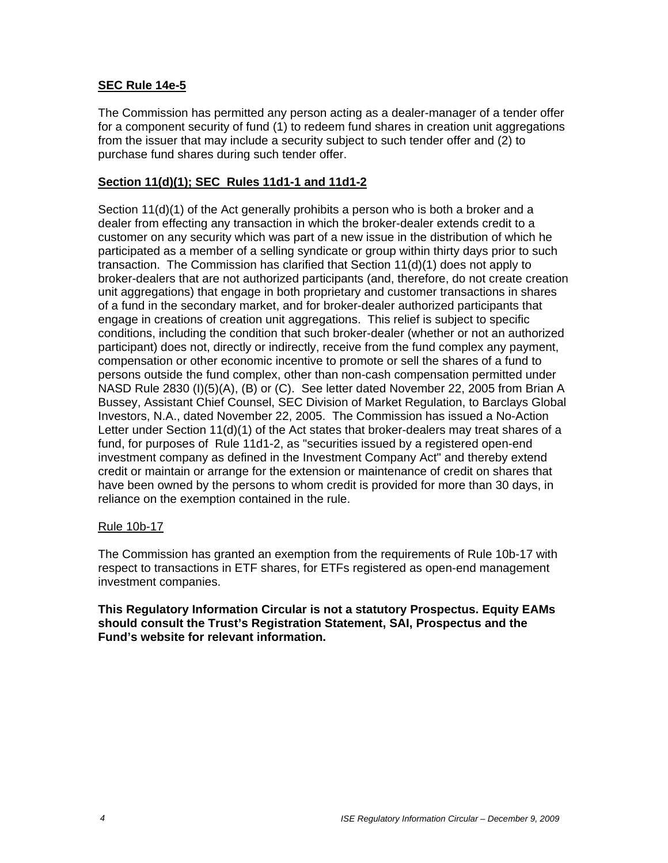## **SEC Rule 14e-5**

The Commission has permitted any person acting as a dealer-manager of a tender offer for a component security of fund (1) to redeem fund shares in creation unit aggregations from the issuer that may include a security subject to such tender offer and (2) to purchase fund shares during such tender offer.

## **Section 11(d)(1); SEC Rules 11d1-1 and 11d1-2**

Section 11(d)(1) of the Act generally prohibits a person who is both a broker and a dealer from effecting any transaction in which the broker-dealer extends credit to a customer on any security which was part of a new issue in the distribution of which he participated as a member of a selling syndicate or group within thirty days prior to such transaction. The Commission has clarified that Section 11(d)(1) does not apply to broker-dealers that are not authorized participants (and, therefore, do not create creation unit aggregations) that engage in both proprietary and customer transactions in shares of a fund in the secondary market, and for broker-dealer authorized participants that engage in creations of creation unit aggregations. This relief is subject to specific conditions, including the condition that such broker-dealer (whether or not an authorized participant) does not, directly or indirectly, receive from the fund complex any payment, compensation or other economic incentive to promote or sell the shares of a fund to persons outside the fund complex, other than non-cash compensation permitted under NASD Rule 2830 (I)(5)(A), (B) or (C). See letter dated November 22, 2005 from Brian A Bussey, Assistant Chief Counsel, SEC Division of Market Regulation, to Barclays Global Investors, N.A., dated November 22, 2005. The Commission has issued a No-Action Letter under Section 11(d)(1) of the Act states that broker-dealers may treat shares of a fund, for purposes of Rule 11d1-2, as "securities issued by a registered open-end investment company as defined in the Investment Company Act" and thereby extend credit or maintain or arrange for the extension or maintenance of credit on shares that have been owned by the persons to whom credit is provided for more than 30 days, in reliance on the exemption contained in the rule.

#### Rule 10b-17

The Commission has granted an exemption from the requirements of Rule 10b-17 with respect to transactions in ETF shares, for ETFs registered as open-end management investment companies.

#### **This Regulatory Information Circular is not a statutory Prospectus. Equity EAMs should consult the Trust's Registration Statement, SAI, Prospectus and the Fund's website for relevant information.**